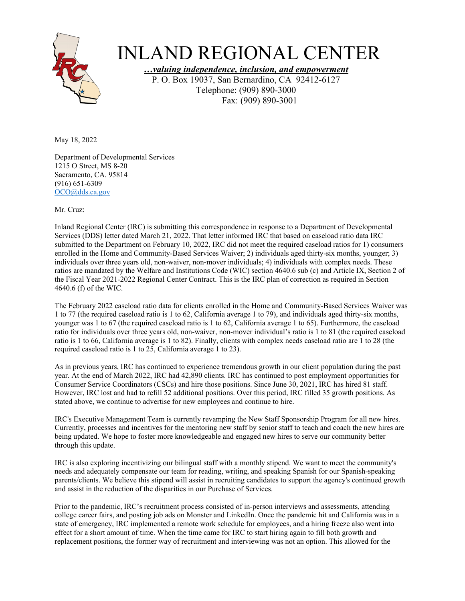

## INLAND REGIONAL CENTER

*…valuing independence, inclusion, and empowerment*

P. O. Box 19037, San Bernardino, CA 92412-6127 Telephone: (909) 890-3000 Fax: (909) 890-3001

May 18, 2022

Department of Developmental Services 1215 O Street, MS 8-20 Sacramento, CA. 95814 (916) 651-6309 [OCO@dds.ca.gov](mailto:OCO@dds.ca.gov) 

Mr. Cruz:

Inland Regional Center (IRC) is submitting this correspondence in response to a Department of Developmental Services (DDS) letter dated March 21, 2022. That letter informed IRC that based on caseload ratio data IRC submitted to the Department on February 10, 2022, IRC did not meet the required caseload ratios for 1) consumers enrolled in the Home and Community-Based Services Waiver; 2) individuals aged thirty-six months, younger; 3) individuals over three years old, non-waiver, non-mover individuals; 4) individuals with complex needs. These ratios are mandated by the Welfare and Institutions Code (WIC) section 4640.6 sub (c) and Article IX, Section 2 of the Fiscal Year 2021-2022 Regional Center Contract. This is the IRC plan of correction as required in Section 4640.6 (f) of the WIC.

The February 2022 caseload ratio data for clients enrolled in the Home and Community-Based Services Waiver was 1 to 77 (the required caseload ratio is 1 to 62, California average 1 to 79), and individuals aged thirty-six months, younger was 1 to 67 (the required caseload ratio is 1 to 62, California average 1 to 65). Furthermore, the caseload ratio for individuals over three years old, non-waiver, non-mover individual's ratio is 1 to 81 (the required caseload ratio is 1 to 66, California average is 1 to 82). Finally, clients with complex needs caseload ratio are 1 to 28 (the required caseload ratio is 1 to 25, California average 1 to 23).

As in previous years, IRC has continued to experience tremendous growth in our client population during the past year. At the end of March 2022, IRC had 42,890 clients. IRC has continued to post employment opportunities for Consumer Service Coordinators (CSCs) and hire those positions. Since June 30, 2021, IRC has hired 81 staff. However, IRC lost and had to refill 52 additional positions. Over this period, IRC filled 35 growth positions. As stated above, we continue to advertise for new employees and continue to hire.

IRC's Executive Management Team is currently revamping the New Staff Sponsorship Program for all new hires. Currently, processes and incentives for the mentoring new staff by senior staff to teach and coach the new hires are being updated. We hope to foster more knowledgeable and engaged new hires to serve our community better through this update.

IRC is also exploring incentivizing our bilingual staff with a monthly stipend. We want to meet the community's needs and adequately compensate our team for reading, writing, and speaking Spanish for our Spanish-speaking parents/clients. We believe this stipend will assist in recruiting candidates to support the agency's continued growth and assist in the reduction of the disparities in our Purchase of Services.

Prior to the pandemic, IRC's recruitment process consisted of in-person interviews and assessments, attending college career fairs, and posting job ads on Monster and LinkedIn. Once the pandemic hit and California was in a state of emergency, IRC implemented a remote work schedule for employees, and a hiring freeze also went into effect for a short amount of time. When the time came for IRC to start hiring again to fill both growth and replacement positions, the former way of recruitment and interviewing was not an option. This allowed for the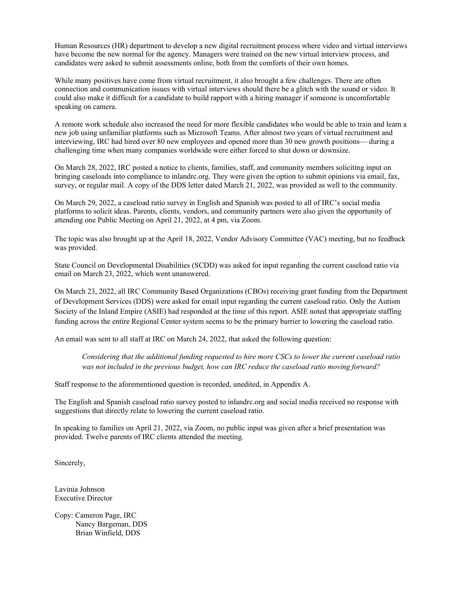Human Resources (HR) department to develop a new digital recruitment process where video and virtual interviews have become the new normal for the agency. Managers were trained on the new virtual interview process, and candidates were asked to submit assessments online, both from the comforts of their own homes.

While many positives have come from virtual recruitment, it also brought a few challenges. There are often connection and communication issues with virtual interviews should there be a glitch with the sound or video. It could also make it difficult for a candidate to build rapport with a hiring manager if someone is uncomfortable speaking on camera.

A remote work schedule also increased the need for more flexible candidates who would be able to train and learn a new job using unfamiliar platforms such as Microsoft Teams. After almost two years of virtual recruitment and interviewing, IRC had hired over 80 new employees and opened more than 30 new growth positions— during a challenging time when many companies worldwide were either forced to shut down or downsize.

On March 28, 2022, IRC posted a notice to clients, families, staff, and community members soliciting input on bringing caseloads into compliance to inlandrc.org. They were given the option to submit opinions via email, fax, survey, or regular mail. A copy of the DDS letter dated March 21, 2022, was provided as well to the community.

On March 29, 2022, a caseload ratio survey in English and Spanish was posted to all of IRC's social media platforms to solicit ideas. Parents, clients, vendors, and community partners were also given the opportunity of attending one Public Meeting on April 21, 2022, at 4 pm, via Zoom.

The topic was also brought up at the April 18, 2022, Vendor Advisory Committee (VAC) meeting, but no feedback was provided.

State Council on Developmental Disabilities (SCDD) was asked for input regarding the current caseload ratio via email on March 23, 2022, which went unanswered.

On March 23, 2022, all IRC Community Based Organizations (CBOs) receiving grant funding from the Department of Development Services (DDS) were asked for email input regarding the current caseload ratio. Only the Autism Society of the Inland Empire (ASIE) had responded at the time of this report. ASIE noted that appropriate staffing funding across the entire Regional Center system seems to be the primary barrier to lowering the caseload ratio.

An email was sent to all staff at IRC on March 24, 2022, that asked the following question:

*Considering that the additional funding requested to hire more CSCs to lower the current caseload ratio was not included in the previous budget, how can IRC reduce the caseload ratio moving forward?*

Staff response to the aforementioned question is recorded, unedited, in Appendix A.

The English and Spanish caseload ratio survey posted to inlandrc.org and social media received no response with suggestions that directly relate to lowering the current caseload ratio.

In speaking to families on April 21, 2022, via Zoom, no public input was given after a brief presentation was provided. Twelve parents of IRC clients attended the meeting.

Sincerely,

Lavinia Johnson Executive Director

Copy: Cameron Page, IRC Nancy Bargeman, DDS Brian Winfield, DDS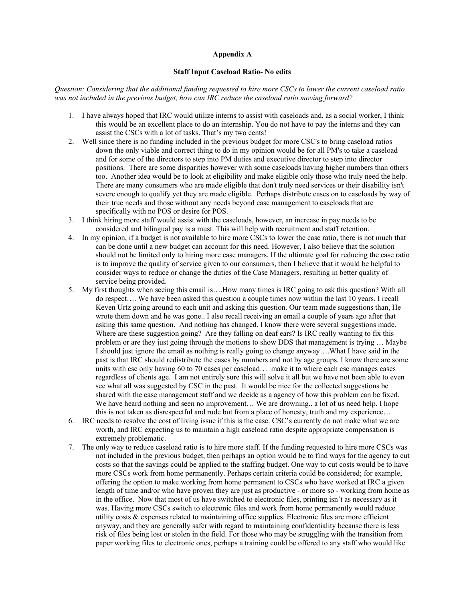## **Appendix A**

## **Staff Input Caseload Ratio- No edits**

*Question: Considering that the additional funding requested to hire more CSCs to lower the current caseload ratio was not included in the previous budget, how can IRC reduce the caseload ratio moving forward?*

- 1. I have always hoped that IRC would utilize interns to assist with caseloads and, as a social worker, I think this would be an excellent place to do an internship. You do not have to pay the interns and they can assist the CSCs with a lot of tasks. That's my two cents!
- 2. Well since there is no funding included in the previous budget for more CSC's to bring caseload ratios down the only viable and correct thing to do in my opinion would be for all PM's to take a caseload and for some of the directors to step into PM duties and executive director to step into director positions. There are some disparities however with some caseloads having higher numbers than others too. Another idea would be to look at eligibility and make eligible only those who truly need the help. There are many consumers who are made eligible that don't truly need services or their disability isn't severe enough to qualify yet they are made eligible. Perhaps distribute cases on to caseloads by way of their true needs and those without any needs beyond case management to caseloads that are specifically with no POS or desire for POS.
- 3. I think hiring more staff would assist with the caseloads, however, an increase in pay needs to be considered and bilingual pay is a must. This will help with recruitment and staff retention.
- 4. In my opinion, if a budget is not available to hire more CSCs to lower the case ratio, there is not much that can be done until a new budget can account for this need. However, I also believe that the solution should not be limited only to hiring more case managers. If the ultimate goal for reducing the case ratio is to improve the quality of service given to our consumers, then I believe that it would be helpful to consider ways to reduce or change the duties of the Case Managers, resulting in better quality of service being provided.
- 5. My first thoughts when seeing this email is….How many times is IRC going to ask this question? With all do respect…. We have been asked this question a couple times now within the last 10 years. I recall Keven Urtz going around to each unit and asking this question. Our team made suggestions than, He wrote them down and he was gone.. I also recall receiving an email a couple of years ago after that asking this same question. And nothing has changed. I know there were several suggestions made. Where are these suggestion going? Are they falling on deaf ears? Is IRC really wanting to fix this problem or are they just going through the motions to show DDS that management is trying … Maybe I should just ignore the email as nothing is really going to change anyway….What I have said in the past is that IRC should redistribute the cases by numbers and not by age groups. I know there are some units with csc only having 60 to 70 cases per caseload… make it to where each csc manages cases regardless of clients age. I am not entirely sure this will solve it all but we have not been able to even see what all was suggested by CSC in the past. It would be nice for the collected suggestions be shared with the case management staff and we decide as a agency of how this problem can be fixed. We have heard nothing and seen no improvement… We are drowning.. a lot of us need help. I hope this is not taken as disrespectful and rude but from a place of honesty, truth and my experience…
- 6. IRC needs to resolve the cost of living issue if this is the case. CSC's currently do not make what we are worth, and IRC expecting us to maintain a high caseload ratio despite appropriate compensation is extremely problematic.
- 7. The only way to reduce caseload ratio is to hire more staff. If the funding requested to hire more CSCs was not included in the previous budget, then perhaps an option would be to find ways for the agency to cut costs so that the savings could be applied to the staffing budget. One way to cut costs would be to have more CSCs work from home permanently. Perhaps certain criteria could be considered; for example, offering the option to make working from home permanent to CSCs who have worked at IRC a given length of time and/or who have proven they are just as productive - or more so - working from home as in the office. Now that most of us have switched to electronic files, printing isn't as necessary as it was. Having more CSCs switch to electronic files and work from home permanently would reduce utility costs & expenses related to maintaining office supplies. Electronic files are more efficient anyway, and they are generally safer with regard to maintaining confidentiality because there is less risk of files being lost or stolen in the field. For those who may be struggling with the transition from paper working files to electronic ones, perhaps a training could be offered to any staff who would like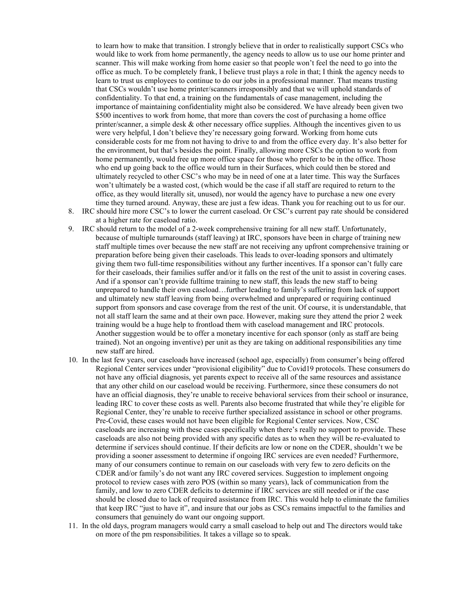to learn how to make that transition. I strongly believe that in order to realistically support CSCs who would like to work from home permanently, the agency needs to allow us to use our home printer and scanner. This will make working from home easier so that people won't feel the need to go into the office as much. To be completely frank, I believe trust plays a role in that; I think the agency needs to learn to trust us employees to continue to do our jobs in a professional manner. That means trusting that CSCs wouldn't use home printer/scanners irresponsibly and that we will uphold standards of confidentiality. To that end, a training on the fundamentals of case management, including the importance of maintaining confidentiality might also be considered. We have already been given two \$500 incentives to work from home, that more than covers the cost of purchasing a home office printer/scanner, a simple desk & other necessary office supplies. Although the incentives given to us were very helpful, I don't believe they're necessary going forward. Working from home cuts considerable costs for me from not having to drive to and from the office every day. It's also better for the environment, but that's besides the point. Finally, allowing more CSCs the option to work from home permanently, would free up more office space for those who prefer to be in the office. Those who end up going back to the office would turn in their Surfaces, which could then be stored and ultimately recycled to other CSC's who may be in need of one at a later time. This way the Surfaces won't ultimately be a wasted cost, (which would be the case if all staff are required to return to the office, as they would literally sit, unused), nor would the agency have to purchase a new one every time they turned around. Anyway, these are just a few ideas. Thank you for reaching out to us for our.

8. IRC should hire more CSC's to lower the current caseload. Or CSC's current pay rate should be considered at a higher rate for caseload ratio.

- 9. IRC should return to the model of a 2-week comprehensive training for all new staff. Unfortunately, because of multiple turnarounds (staff leaving) at IRC, sponsors have been in charge of training new staff multiple times over because the new staff are not receiving any upfront comprehensive training or preparation before being given their caseloads. This leads to over-loading sponsors and ultimately giving them two full-time responsibilities without any further incentives. If a sponsor can't fully care for their caseloads, their families suffer and/or it falls on the rest of the unit to assist in covering cases. And if a sponsor can't provide fulltime training to new staff, this leads the new staff to being unprepared to handle their own caseload…further leading to family's suffering from lack of support and ultimately new staff leaving from being overwhelmed and unprepared or requiring continued support from sponsors and case coverage from the rest of the unit. Of course, it is understandable, that not all staff learn the same and at their own pace. However, making sure they attend the prior 2 week training would be a huge help to frontload them with caseload management and IRC protocols. Another suggestion would be to offer a monetary incentive for each sponsor (only as staff are being trained). Not an ongoing inventive) per unit as they are taking on additional responsibilities any time new staff are hired.
- 10. In the last few years, our caseloads have increased (school age, especially) from consumer's being offered Regional Center services under "provisional eligibility" due to Covid19 protocols. These consumers do not have any official diagnosis, yet parents expect to receive all of the same resources and assistance that any other child on our caseload would be receiving. Furthermore, since these consumers do not have an official diagnosis, they're unable to receive behavioral services from their school or insurance, leading IRC to cover these costs as well. Parents also become frustrated that while they're eligible for Regional Center, they're unable to receive further specialized assistance in school or other programs. Pre-Covid, these cases would not have been eligible for Regional Center services. Now, CSC caseloads are increasing with these cases specifically when there's really no support to provide. These caseloads are also not being provided with any specific dates as to when they will be re-evaluated to determine if services should continue. If their deficits are low or none on the CDER, shouldn't we be providing a sooner assessment to determine if ongoing IRC services are even needed? Furthermore, many of our consumers continue to remain on our caseloads with very few to zero deficits on the CDER and/or family's do not want any IRC covered services. Suggestion to implement ongoing protocol to review cases with zero POS (within so many years), lack of communication from the family, and low to zero CDER deficits to determine if IRC services are still needed or if the case should be closed due to lack of required assistance from IRC. This would help to eliminate the families that keep IRC "just to have it", and insure that our jobs as CSCs remains impactful to the families and consumers that genuinely do want our ongoing support.
- 11. In the old days, program managers would carry a small caseload to help out and The directors would take on more of the pm responsibilities. It takes a village so to speak.